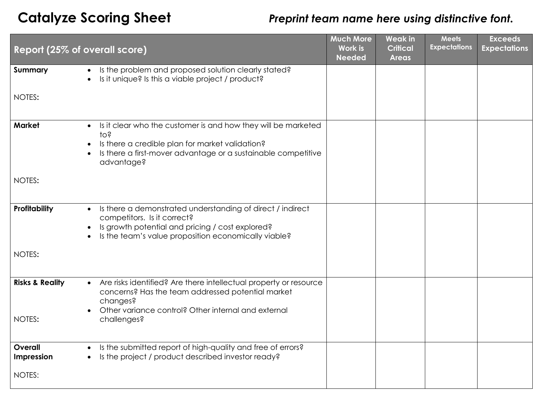## **Catalyze Scoring Sheet** *Preprint team name here using distinctive font.*

| Report (25% of overall score) |                                                                                                                                                                                                                                                           | <b>Much More</b><br><b>Work is</b><br><b>Needed</b> | <b>Weak in</b><br><b>Critical</b><br><b>Areas</b> | <b>Meets</b><br><b>Expectations</b> | <b>Exceeds</b><br><b>Expectations</b> |
|-------------------------------|-----------------------------------------------------------------------------------------------------------------------------------------------------------------------------------------------------------------------------------------------------------|-----------------------------------------------------|---------------------------------------------------|-------------------------------------|---------------------------------------|
| Summary                       | Is the problem and proposed solution clearly stated?<br>$\bullet$<br>Is it unique? Is this a viable project / product?<br>$\bullet$                                                                                                                       |                                                     |                                                   |                                     |                                       |
| NOTES:                        |                                                                                                                                                                                                                                                           |                                                     |                                                   |                                     |                                       |
| <b>Market</b>                 | Is it clear who the customer is and how they will be marketed<br>$\bullet$<br>10 <sub>5</sub><br>Is there a credible plan for market validation?<br>$\bullet$<br>Is there a first-mover advantage or a sustainable competitive<br>$\bullet$<br>advantage? |                                                     |                                                   |                                     |                                       |
| NOTES:                        |                                                                                                                                                                                                                                                           |                                                     |                                                   |                                     |                                       |
| Profitability                 | Is there a demonstrated understanding of direct / indirect<br>$\bullet$<br>competitors. Is it correct?<br>Is growth potential and pricing / cost explored?<br>$\bullet$<br>Is the team's value proposition economically viable?                           |                                                     |                                                   |                                     |                                       |
| NOTES:                        |                                                                                                                                                                                                                                                           |                                                     |                                                   |                                     |                                       |
| <b>Risks &amp; Reality</b>    | Are risks identified? Are there intellectual property or resource<br>$\bullet$<br>concerns? Has the team addressed potential market<br>changes?<br>Other variance control? Other internal and external<br>$\bullet$                                       |                                                     |                                                   |                                     |                                       |
| NOTES:                        | challenges?                                                                                                                                                                                                                                               |                                                     |                                                   |                                     |                                       |
| Overall<br>Impression         | Is the submitted report of high-quality and free of errors?<br>$\bullet$<br>Is the project / product described investor ready?                                                                                                                            |                                                     |                                                   |                                     |                                       |
| NOTES:                        |                                                                                                                                                                                                                                                           |                                                     |                                                   |                                     |                                       |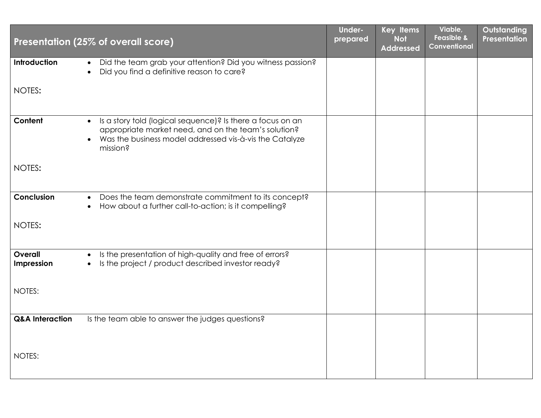|                            | Presentation (25% of overall score)                                                                                                                                                                                 | <b>Under-</b><br>prepared | Key Items<br><b>Not</b> | Viable,<br><b>Feasible &amp;</b><br>Conventional | Outstanding<br><b>Presentation</b> |
|----------------------------|---------------------------------------------------------------------------------------------------------------------------------------------------------------------------------------------------------------------|---------------------------|-------------------------|--------------------------------------------------|------------------------------------|
|                            |                                                                                                                                                                                                                     |                           | <b>Addressed</b>        |                                                  |                                    |
| Introduction               | Did the team grab your attention? Did you witness passion?<br>$\bullet$<br>Did you find a definitive reason to care?                                                                                                |                           |                         |                                                  |                                    |
| NOTES:                     |                                                                                                                                                                                                                     |                           |                         |                                                  |                                    |
| Content                    | Is a story told (logical sequence)? Is there a focus on an<br>$\bullet$<br>appropriate market need, and on the team's solution?<br>Was the business model addressed vis-à-vis the Catalyze<br>$\bullet$<br>mission? |                           |                         |                                                  |                                    |
| NOTES:                     |                                                                                                                                                                                                                     |                           |                         |                                                  |                                    |
| Conclusion                 | Does the team demonstrate commitment to its concept?<br>$\bullet$<br>How about a further call-to-action; is it compelling?<br>$\bullet$                                                                             |                           |                         |                                                  |                                    |
| NOTES:                     |                                                                                                                                                                                                                     |                           |                         |                                                  |                                    |
| Overall<br>Impression      | Is the presentation of high-quality and free of errors?<br>$\bullet$<br>Is the project / product described investor ready?<br>$\bullet$                                                                             |                           |                         |                                                  |                                    |
| NOTES:                     |                                                                                                                                                                                                                     |                           |                         |                                                  |                                    |
| <b>Q&amp;A Interaction</b> | Is the team able to answer the judges questions?                                                                                                                                                                    |                           |                         |                                                  |                                    |
| NOTES:                     |                                                                                                                                                                                                                     |                           |                         |                                                  |                                    |